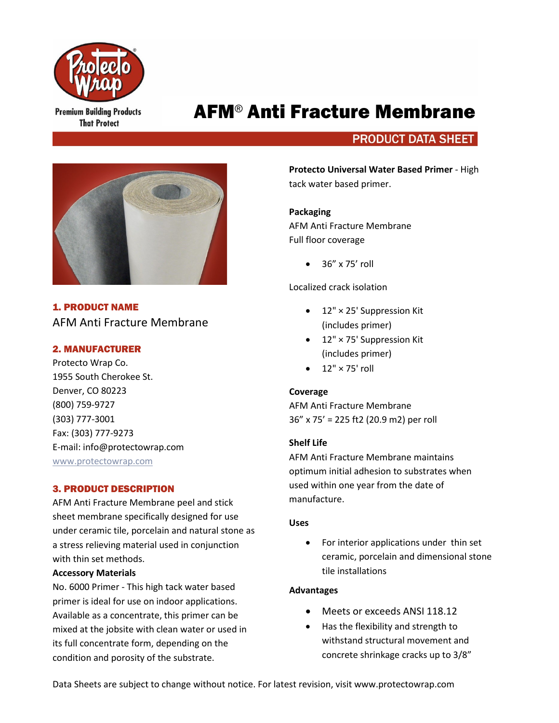

**Premium Building Products That Protect** 

# AFM® Anti Fracture Membrane

# **PRODUCT DATA SHEET**



1. PRODUCT NAME AFM Anti Fracture Membrane

# 2. MANUFACTURER

Protecto Wrap Co. 1955 South Cherokee St. Denver, CO 80223 (800) 759-9727 (303) 777-3001 Fax: (303) 777-9273 E-mail: info@protectowrap.com [www.protectowrap.com](http://www.protectowrap.com/)

# 3. PRODUCT DESCRIPTION

AFM Anti Fracture Membrane peel and stick sheet membrane specifically designed for use under ceramic tile, porcelain and natural stone as a stress relieving material used in conjunction with thin set methods.

# **Accessory Materials**

No. 6000 Primer - This high tack water based primer is ideal for use on indoor applications. Available as a concentrate, this primer can be mixed at the jobsite with clean water or used in its full concentrate form, depending on the condition and porosity of the substrate.

**Protecto Universal Water Based Primer** - High tack water based primer.

# **Packaging**

AFM Anti Fracture Membrane Full floor coverage

 $\bullet$  36" x 75' roll

Localized crack isolation

- 12" × 25' Suppression Kit (includes primer)
- 12" × 75' Suppression Kit (includes primer)
- $\bullet$  12"  $\times$  75' roll

# **Coverage**

AFM Anti Fracture Membrane 36" x 75' = 225 ft2 (20.9 m2) per roll

# **Shelf Life**

AFM Anti Fracture Membrane maintains optimum initial adhesion to substrates when used within one year from the date of manufacture.

# **Uses**

• For interior applications under thin set ceramic, porcelain and dimensional stone tile installations

# **Advantages**

- Meets or exceeds ANSI 118.12
- Has the flexibility and strength to withstand structural movement and concrete shrinkage cracks up to 3/8"

Data Sheets are subject to change without notice. For latest revision, visit www.protectowrap.com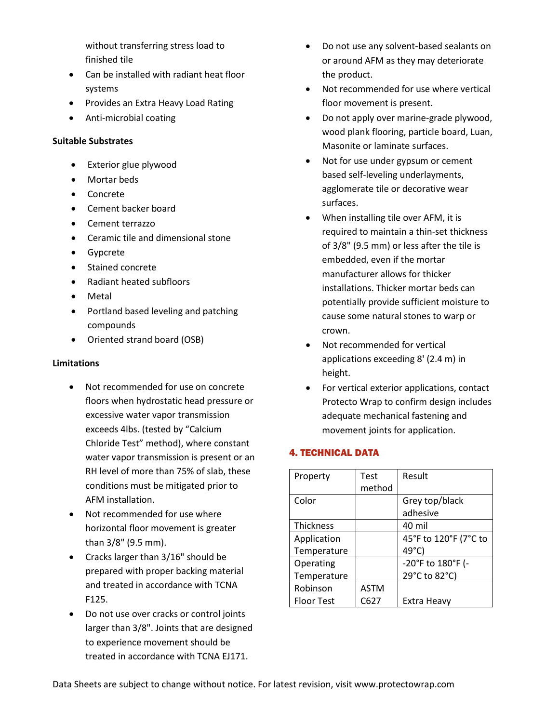without transferring stress load to finished tile

- Can be installed with radiant heat floor systems
- Provides an Extra Heavy Load Rating
- Anti-microbial coating

# **Suitable Substrates**

- Exterior glue plywood
- Mortar beds
- Concrete
- Cement backer board
- Cement terrazzo
- Ceramic tile and dimensional stone
- **Gypcrete**
- Stained concrete
- Radiant heated subfloors
- **Metal**
- Portland based leveling and patching compounds
- Oriented strand board (OSB)

# **Limitations**

- Not recommended for use on concrete floors when hydrostatic head pressure or excessive water vapor transmission exceeds 4lbs. (tested by "Calcium Chloride Test" method), where constant water vapor transmission is present or an RH level of more than 75% of slab, these conditions must be mitigated prior to AFM installation.
- Not recommended for use where horizontal floor movement is greater than 3/8" (9.5 mm).
- Cracks larger than 3/16" should be prepared with proper backing material and treated in accordance with TCNA F125.
- Do not use over cracks or control joints larger than 3/8". Joints that are designed to experience movement should be treated in accordance with TCNA EJ171.
- Do not use any solvent-based sealants on or around AFM as they may deteriorate the product.
- Not recommended for use where vertical floor movement is present.
- Do not apply over marine-grade plywood, wood plank flooring, particle board, Luan, Masonite or laminate surfaces.
- Not for use under gypsum or cement based self-leveling underlayments, agglomerate tile or decorative wear surfaces.
- When installing tile over AFM, it is required to maintain a thin-set thickness of 3/8" (9.5 mm) or less after the tile is embedded, even if the mortar manufacturer allows for thicker installations. Thicker mortar beds can potentially provide sufficient moisture to cause some natural stones to warp or crown.
- Not recommended for vertical applications exceeding 8' (2.4 m) in height.
- For vertical exterior applications, contact Protecto Wrap to confirm design includes adequate mechanical fastening and movement joints for application.

# 4. TECHNICAL DATA

| Property          | Test        | Result                |
|-------------------|-------------|-----------------------|
|                   | method      |                       |
| Color             |             | Grey top/black        |
|                   |             | adhesive              |
| <b>Thickness</b>  |             | 40 mil                |
| Application       |             | 45°F to 120°F (7°C to |
| Temperature       |             | 49°C)                 |
| Operating         |             | -20°F to 180°F (-     |
| Temperature       |             | 29°C to 82°C)         |
| Robinson          | <b>ASTM</b> |                       |
| <b>Floor Test</b> | C627        | Extra Heavy           |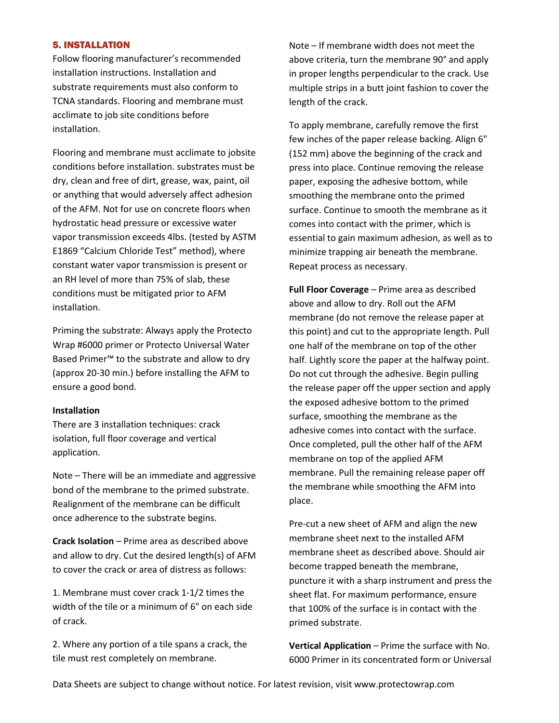# 5. INSTALLATION

Follow flooring manufacturer's recommended installation instructions. Installation and substrate requirements must also conform to TCNA standards. Flooring and membrane must acclimate to job site conditions before installation.

Flooring and membrane must acclimate to jobsite conditions before installation. substrates must be dry, clean and free of dirt, grease, wax, paint, oil or anything that would adversely affect adhesion of the AFM. Not for use on concrete floors when hydrostatic head pressure or excessive water vapor transmission exceeds 4lbs. (tested by ASTM E1869 "Calcium Chloride Test" method), where constant water vapor transmission is present or an RH level of more than 75% of slab, these conditions must be mitigated prior to AFM installation.

Priming the substrate: Always apply the Protecto Wrap #6000 primer or Protecto Universal Water Based Primer™ to the substrate and allow to dry (approx 20-30 min.) before installing the AFM to ensure a good bond.

#### **Installation**

There are 3 installation techniques: crack isolation, full floor coverage and vertical application.

Note – There will be an immediate and aggressive bond of the membrane to the primed substrate. Realignment of the membrane can be difficult once adherence to the substrate begins.

**Crack Isolation** – Prime area as described above and allow to dry. Cut the desired length(s) of AFM to cover the crack or area of distress as follows:

1. Membrane must cover crack 1-1/2 times the width of the tile or a minimum of 6" on each side of crack.

2. Where any portion of a tile spans a crack, the tile must rest completely on membrane.

Note – If membrane width does not meet the above criteria, turn the membrane 90° and apply in proper lengths perpendicular to the crack. Use multiple strips in a butt joint fashion to cover the length of the crack.

To apply membrane, carefully remove the first few inches of the paper release backing. Align 6" (152 mm) above the beginning of the crack and press into place. Continue removing the release paper, exposing the adhesive bottom, while smoothing the membrane onto the primed surface. Continue to smooth the membrane as it comes into contact with the primer, which is essential to gain maximum adhesion, as well as to minimize trapping air beneath the membrane. Repeat process as necessary.

**Full Floor Coverage** – Prime area as described above and allow to dry. Roll out the AFM membrane (do not remove the release paper at this point) and cut to the appropriate length. Pull one half of the membrane on top of the other half. Lightly score the paper at the halfway point. Do not cut through the adhesive. Begin pulling the release paper off the upper section and apply the exposed adhesive bottom to the primed surface, smoothing the membrane as the adhesive comes into contact with the surface. Once completed, pull the other half of the AFM membrane on top of the applied AFM membrane. Pull the remaining release paper off the membrane while smoothing the AFM into place.

Pre-cut a new sheet of AFM and align the new membrane sheet next to the installed AFM membrane sheet as described above. Should air become trapped beneath the membrane, puncture it with a sharp instrument and press the sheet flat. For maximum performance, ensure that 100% of the surface is in contact with the primed substrate.

**Vertical Application** – Prime the surface with No. 6000 Primer in its concentrated form or Universal

Data Sheets are subject to change without notice. For latest revision, visit www.protectowrap.com